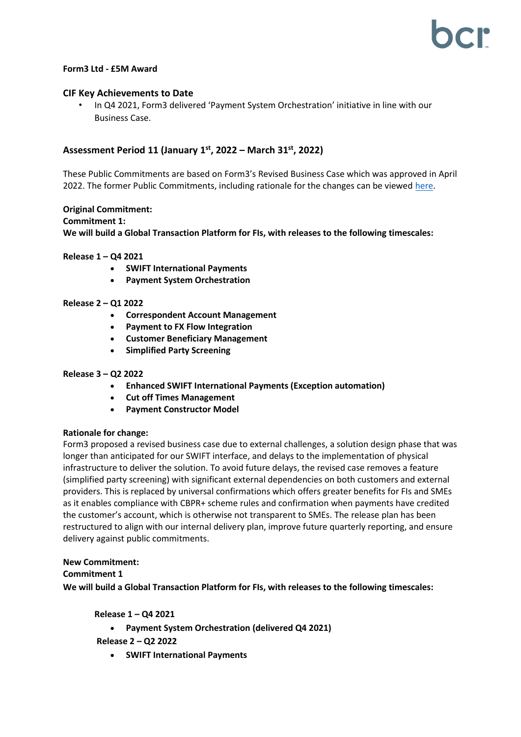## **Form3 Ltd - £5M Award**

## **CIF Key Achievements to Date**

• In Q4 2021, Form3 delivered 'Payment System Orchestration' initiative in line with our Business Case.

# **Assessment Period 11 (January 1 st, 2022 – March 31st , 2022)**

These Public Commitments are based on Form3's Revised Business Case which was approved in April 2022. The former Public Commitments, including rationale for the changes can be viewed [here.](https://bcr-ltd.com/wp-content/uploads/2021/02/Form3-Ltd_Public-Commitment-Update_Q420v1.0.pdf)

### **Original Commitment:**

#### **Commitment 1:**

**We will build a Global Transaction Platform for FIs, with releases to the following timescales:**

#### **Release 1 – Q4 2021**

- **SWIFT International Payments**
- **Payment System Orchestration**

#### **Release 2 – Q1 2022**

- **Correspondent Account Management**
- **Payment to FX Flow Integration**
- **Customer Beneficiary Management**
- **Simplified Party Screening**

### **Release 3 – Q2 2022**

- **Enhanced SWIFT International Payments (Exception automation)**
- **Cut off Times Management**
- **Payment Constructor Model**

### **Rationale for change:**

Form3 proposed a revised business case due to external challenges, a solution design phase that was longer than anticipated for our SWIFT interface, and delays to the implementation of physical infrastructure to deliver the solution. To avoid future delays, the revised case removes a feature (simplified party screening) with significant external dependencies on both customers and external providers. This is replaced by universal confirmations which offers greater benefits for FIs and SMEs as it enables compliance with CBPR+ scheme rules and confirmation when payments have credited the customer's account, which is otherwise not transparent to SMEs. The release plan has been restructured to align with our internal delivery plan, improve future quarterly reporting, and ensure delivery against public commitments.

### **New Commitment:**

### **Commitment 1**

**We will build a Global Transaction Platform for FIs, with releases to the following timescales:**

**Release 1 – Q4 2021**

• **Payment System Orchestration (delivered Q4 2021)**

- **Release 2 – Q2 2022**
	- **SWIFT International Payments**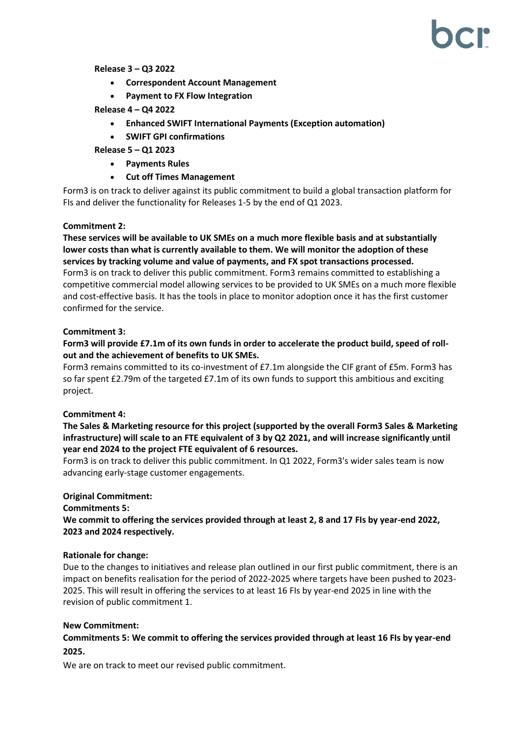**Release 3 – Q3 2022**

- **Correspondent Account Management**
- **Payment to FX Flow Integration**
- **Release 4 – Q4 2022**
	- **Enhanced SWIFT International Payments (Exception automation)**
	- **SWIFT GPI confirmations**

**Release 5 – Q1 2023**

- **Payments Rules**
- **Cut off Times Management**

Form3 is on track to deliver against its public commitment to build a global transaction platform for FIs and deliver the functionality for Releases 1-5 by the end of Q1 2023.

## **Commitment 2:**

**These services will be available to UK SMEs on a much more flexible basis and at substantially lower costs than what is currently available to them. We will monitor the adoption of these services by tracking volume and value of payments, and FX spot transactions processed.** Form3 is on track to deliver this public commitment. Form3 remains committed to establishing a competitive commercial model allowing services to be provided to UK SMEs on a much more flexible and cost-effective basis. It has the tools in place to monitor adoption once it has the first customer confirmed for the service.

## **Commitment 3:**

**Form3 will provide £7.1m of its own funds in order to accelerate the product build, speed of rollout and the achievement of benefits to UK SMEs.**

Form3 remains committed to its co-investment of £7.1m alongside the CIF grant of £5m. Form3 has so far spent £2.79m of the targeted £7.1m of its own funds to support this ambitious and exciting project.

## **Commitment 4:**

**The Sales & Marketing resource for this project (supported by the overall Form3 Sales & Marketing infrastructure) will scale to an FTE equivalent of 3 by Q2 2021, and will increase significantly until year end 2024 to the project FTE equivalent of 6 resources.**

Form3 is on track to deliver this public commitment. In Q1 2022, Form3's wider sales team is now advancing early-stage customer engagements.

## **Original Commitment:**

**Commitments 5: We commit to offering the services provided through at least 2, 8 and 17 FIs by year-end 2022, 2023 and 2024 respectively.**

### **Rationale for change:**

Due to the changes to initiatives and release plan outlined in our first public commitment, there is an impact on benefits realisation for the period of 2022-2025 where targets have been pushed to 2023- 2025. This will result in offering the services to at least 16 FIs by year-end 2025 in line with the revision of public commitment 1.

### **New Commitment:**

**Commitments 5: We commit to offering the services provided through at least 16 FIs by year-end 2025.**

We are on track to meet our revised public commitment.